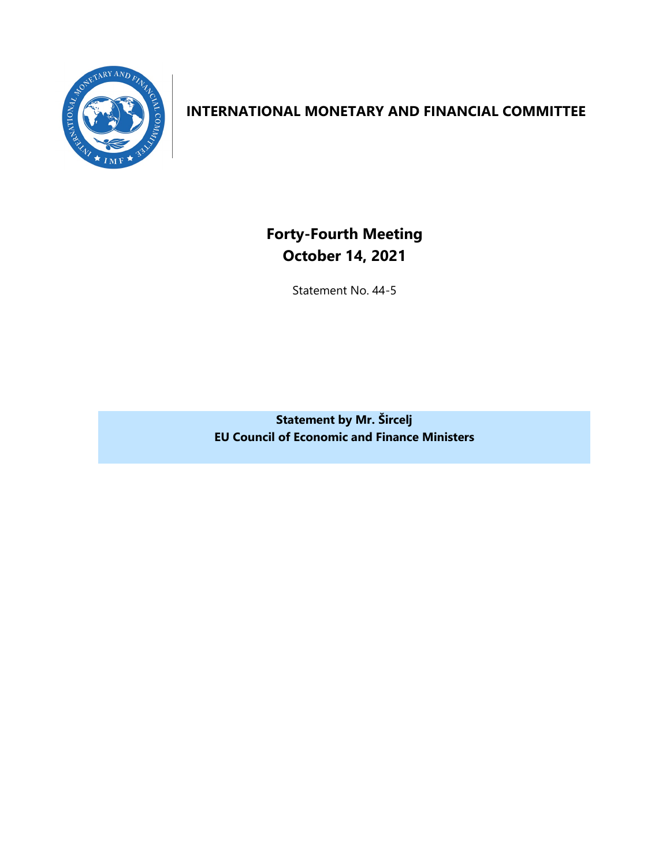

## **INTERNATIONAL MONETARY AND FINANCIAL COMMITTEE**

**Forty-Fourth Meeting October 14, 2021**

Statement No. 44-5

**Statement by Mr. Šircelj EU Council of Economic and Finance Ministers**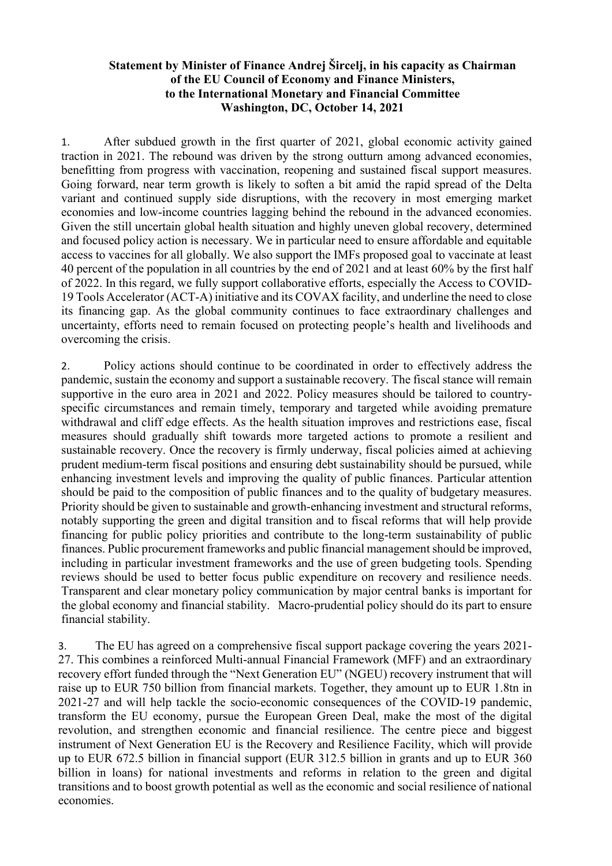## **Statement by Minister of Finance Andrej Šircelj, in his capacity as Chairman of the EU Council of Economy and Finance Ministers, to the International Monetary and Financial Committee Washington, DC, October 14, 2021**

1. After subdued growth in the first quarter of 2021, global economic activity gained traction in 2021. The rebound was driven by the strong outturn among advanced economies, benefitting from progress with vaccination, reopening and sustained fiscal support measures. Going forward, near term growth is likely to soften a bit amid the rapid spread of the Delta variant and continued supply side disruptions, with the recovery in most emerging market economies and low-income countries lagging behind the rebound in the advanced economies. Given the still uncertain global health situation and highly uneven global recovery, determined and focused policy action is necessary. We in particular need to ensure affordable and equitable access to vaccines for all globally. We also support the IMFs proposed goal to vaccinate at least 40 percent of the population in all countries by the end of 2021 and at least 60% by the first half of 2022. In this regard, we fully support collaborative efforts, especially the Access to COVID-19 Tools Accelerator (ACT-A) initiative and its COVAX facility, and underline the need to close its financing gap. As the global community continues to face extraordinary challenges and uncertainty, efforts need to remain focused on protecting people's health and livelihoods and overcoming the crisis.

2. Policy actions should continue to be coordinated in order to effectively address the pandemic, sustain the economy and support a sustainable recovery. The fiscal stance will remain supportive in the euro area in 2021 and 2022. Policy measures should be tailored to countryspecific circumstances and remain timely, temporary and targeted while avoiding premature withdrawal and cliff edge effects. As the health situation improves and restrictions ease, fiscal measures should gradually shift towards more targeted actions to promote a resilient and sustainable recovery. Once the recovery is firmly underway, fiscal policies aimed at achieving prudent medium-term fiscal positions and ensuring debt sustainability should be pursued, while enhancing investment levels and improving the quality of public finances. Particular attention should be paid to the composition of public finances and to the quality of budgetary measures. Priority should be given to sustainable and growth-enhancing investment and structural reforms, notably supporting the green and digital transition and to fiscal reforms that will help provide financing for public policy priorities and contribute to the long-term sustainability of public finances. Public procurement frameworks and public financial management should be improved, including in particular investment frameworks and the use of green budgeting tools. Spending reviews should be used to better focus public expenditure on recovery and resilience needs. Transparent and clear monetary policy communication by major central banks is important for the global economy and financial stability. Macro-prudential policy should do its part to ensure financial stability.

3. The EU has agreed on a comprehensive fiscal support package covering the years 2021- 27. This combines a reinforced Multi-annual Financial Framework (MFF) and an extraordinary recovery effort funded through the "Next Generation EU" (NGEU) recovery instrument that will raise up to EUR 750 billion from financial markets. Together, they amount up to EUR 1.8tn in 2021-27 and will help tackle the socio-economic consequences of the COVID-19 pandemic, transform the EU economy, pursue the European Green Deal, make the most of the digital revolution, and strengthen economic and financial resilience. The centre piece and biggest instrument of Next Generation EU is the Recovery and Resilience Facility, which will provide up to EUR 672.5 billion in financial support (EUR 312.5 billion in grants and up to EUR 360 billion in loans) for national investments and reforms in relation to the green and digital transitions and to boost growth potential as well as the economic and social resilience of national economies.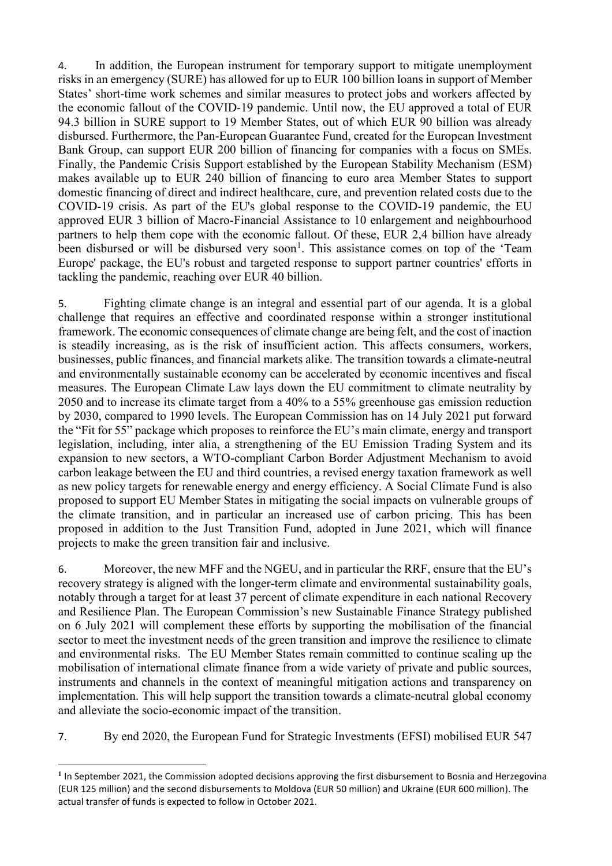4. In addition, the European instrument for temporary support to mitigate unemployment risks in an emergency (SURE) has allowed for up to EUR 100 billion loans in support of Member States' short-time work schemes and similar measures to protect jobs and workers affected by the economic fallout of the COVID-19 pandemic. Until now, the EU approved a total of EUR 94.3 billion in SURE support to 19 Member States, out of which EUR 90 billion was already disbursed. Furthermore, the Pan-European Guarantee Fund, created for the European Investment Bank Group, can support EUR 200 billion of financing for companies with a focus on SMEs. Finally, the Pandemic Crisis Support established by the European Stability Mechanism (ESM) makes available up to EUR 240 billion of financing to euro area Member States to support domestic financing of direct and indirect healthcare, cure, and prevention related costs due to the COVID-19 crisis. As part of the EU's global response to the COVID-19 pandemic, the EU approved EUR 3 billion of Macro-Financial Assistance to 10 enlargement and neighbourhood partners to help them cope with the economic fallout. Of these, EUR 2,4 billion have already been disbursed or will be disbursed very soon<sup>[1](#page-3-0)</sup>. This assistance comes on top of the 'Team Europe' package, the EU's robust and targeted response to support partner countries' efforts in tackling the pandemic, reaching over EUR 40 billion.

5. Fighting climate change is an integral and essential part of our agenda. It is a global challenge that requires an effective and coordinated response within a stronger institutional framework. The economic consequences of climate change are being felt, and the cost of inaction is steadily increasing, as is the risk of insufficient action. This affects consumers, workers, businesses, public finances, and financial markets alike. The transition towards a climate-neutral and environmentally sustainable economy can be accelerated by economic incentives and fiscal measures. The European Climate Law lays down the EU commitment to climate neutrality by 2050 and to increase its climate target from a 40% to a 55% greenhouse gas emission reduction by 2030, compared to 1990 levels. The European Commission has on 14 July 2021 put forward the "Fit for 55" package which proposes to reinforce the EU's main climate, energy and transport legislation, including, inter alia, a strengthening of the EU Emission Trading System and its expansion to new sectors, a WTO-compliant Carbon Border Adjustment Mechanism to avoid carbon leakage between the EU and third countries, a revised energy taxation framework as well as new policy targets for renewable energy and energy efficiency. A Social Climate Fund is also proposed to support EU Member States in mitigating the social impacts on vulnerable groups of the climate transition, and in particular an increased use of carbon pricing. This has been proposed in addition to the Just Transition Fund, adopted in June 2021, which will finance projects to make the green transition fair and inclusive.

6. Moreover, the new MFF and the NGEU, and in particular the RRF, ensure that the EU's recovery strategy is aligned with the longer-term climate and environmental sustainability goals, notably through a target for at least 37 percent of climate expenditure in each national Recovery and Resilience Plan. The European Commission's new Sustainable Finance Strategy published on 6 July 2021 will complement these efforts by supporting the mobilisation of the financial sector to meet the investment needs of the green transition and improve the resilience to climate and environmental risks. The EU Member States remain committed to continue scaling up the mobilisation of international climate finance from a wide variety of private and public sources, instruments and channels in the context of meaningful mitigation actions and transparency on implementation. This will help support the transition towards a climate-neutral global economy and alleviate the socio-economic impact of the transition.

7. By end 2020, the European Fund for Strategic Investments (EFSI) mobilised EUR 547

<span id="page-3-0"></span>**<sup>1</sup>** In September 2021, the Commission adopted decisions approving the first disbursement to Bosnia and Herzegovina (EUR 125 million) and the second disbursements to Moldova (EUR 50 million) and Ukraine (EUR 600 million). The actual transfer of funds is expected to follow in October 2021.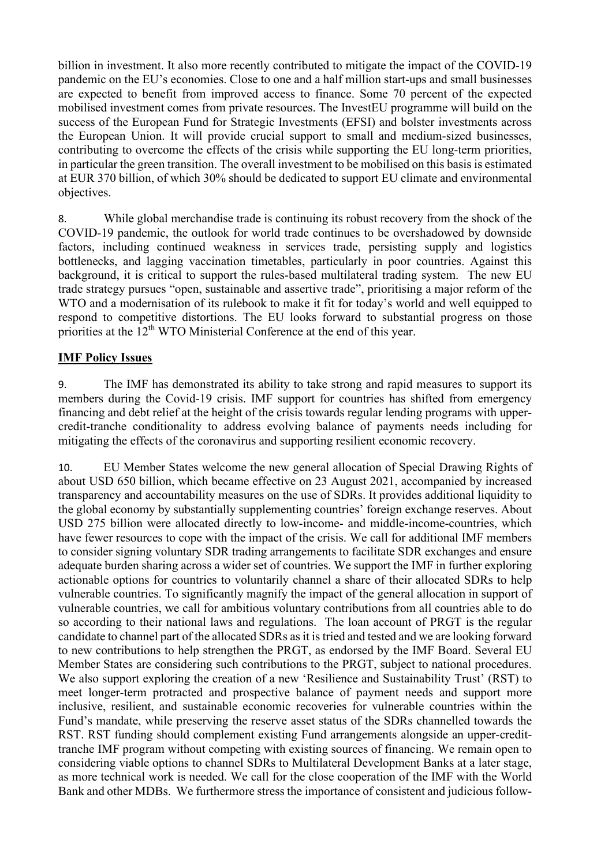billion in investment. It also more recently contributed to mitigate the impact of the COVID-19 pandemic on the EU's economies. Close to one and a half million start-ups and small businesses are expected to benefit from improved access to finance. Some 70 percent of the expected mobilised investment comes from private resources. The InvestEU programme will build on the success of the European Fund for Strategic Investments (EFSI) and bolster investments across the European Union. It will provide crucial support to small and medium-sized businesses, contributing to overcome the effects of the crisis while supporting the EU long-term priorities, in particular the green transition. The overall investment to be mobilised on this basis is estimated at EUR 370 billion, of which 30% should be dedicated to support EU climate and environmental objectives.

8. While global merchandise trade is continuing its robust recovery from the shock of the COVID-19 pandemic, the outlook for world trade continues to be overshadowed by downside factors, including continued weakness in services trade, persisting supply and logistics bottlenecks, and lagging vaccination timetables, particularly in poor countries. Against this background, it is critical to support the rules-based multilateral trading system. The new EU trade strategy pursues "open, sustainable and assertive trade", prioritising a major reform of the WTO and a modernisation of its rulebook to make it fit for today's world and well equipped to respond to competitive distortions. The EU looks forward to substantial progress on those priorities at the 12<sup>th</sup> WTO Ministerial Conference at the end of this year.

## **IMF Policy Issues**

9. The IMF has demonstrated its ability to take strong and rapid measures to support its members during the Covid-19 crisis. IMF support for countries has shifted from emergency financing and debt relief at the height of the crisis towards regular lending programs with uppercredit-tranche conditionality to address evolving balance of payments needs including for mitigating the effects of the coronavirus and supporting resilient economic recovery.

10. EU Member States welcome the new general allocation of Special Drawing Rights of about USD 650 billion, which became effective on 23 August 2021, accompanied by increased transparency and accountability measures on the use of SDRs. It provides additional liquidity to the global economy by substantially supplementing countries' foreign exchange reserves. About USD 275 billion were allocated directly to low-income- and middle-income-countries, which have fewer resources to cope with the impact of the crisis. We call for additional IMF members to consider signing voluntary SDR trading arrangements to facilitate SDR exchanges and ensure adequate burden sharing across a wider set of countries. We support the IMF in further exploring actionable options for countries to voluntarily channel a share of their allocated SDRs to help vulnerable countries. To significantly magnify the impact of the general allocation in support of vulnerable countries, we call for ambitious voluntary contributions from all countries able to do so according to their national laws and regulations. The loan account of PRGT is the regular candidate to channel part of the allocated SDRs as it is tried and tested and we are looking forward to new contributions to help strengthen the PRGT, as endorsed by the IMF Board. Several EU Member States are considering such contributions to the PRGT, subject to national procedures. We also support exploring the creation of a new 'Resilience and Sustainability Trust' (RST) to meet longer-term protracted and prospective balance of payment needs and support more inclusive, resilient, and sustainable economic recoveries for vulnerable countries within the Fund's mandate, while preserving the reserve asset status of the SDRs channelled towards the RST. RST funding should complement existing Fund arrangements alongside an upper-credittranche IMF program without competing with existing sources of financing. We remain open to considering viable options to channel SDRs to Multilateral Development Banks at a later stage, as more technical work is needed. We call for the close cooperation of the IMF with the World Bank and other MDBs. We furthermore stress the importance of consistent and judicious follow